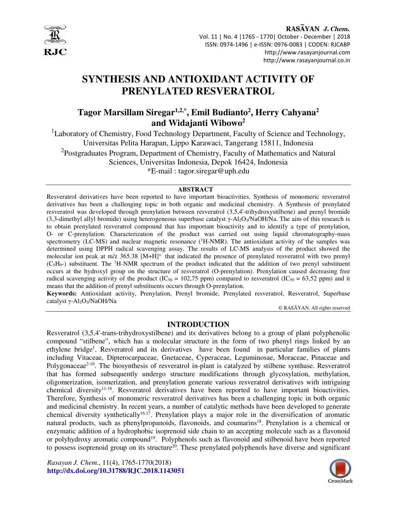

RASAYAN J. Chem. Vol. 11 | No. 4 |1765 - 1770| October - December | 2018 ISSN: 0974-1496 | e-ISSN: 0976-0083 | CODEN: RJCABP http://www.rasayanjournal.com http://www.rasayanjournal.co.in

# **SYNTHESIS AND ANTIOXIDANT ACTIVITY OF PRENYLATED RESVERATROL**

# **Tagor Marsillam Siregar1,2,\*, Emil Budianto<sup>2</sup> , Herry Cahyana<sup>2</sup> and Widajanti Wibowo<sup>2</sup>**

<sup>1</sup>Laboratory of Chemistry, Food Technology Department, Faculty of Science and Technology, Universitas Pelita Harapan, Lippo Karawaci, Tangerang 15811, Indonesia <sup>2</sup>Postgraduates Program, Department of Chemistry, Faculty of Mathematics and Natural Sciences, Universitas Indonesia, Depok 16424, Indonesia \*E-mail : tagor.siregar@uph.edu

#### **ABSTRACT**

Resveratrol derivatives have been reported to have important bioactivities. Synthesis of monomeric resveratrol derivatives has been a challenging topic in both organic and medicinal chemistry. A Synthesis of prenylated resveratrol was developed through prenylation between resveratrol (3,5,4'-trihydroxystilbene) and prenyl bromide (3,3-dimethyl allyl bromide) using heterogeneous superbase catalyst γ-Al2O3/NaOH/Na. The aim of this research is to obtain prenylated resveratrol compound that has important bioactivity and to identify a type of prenylation, O- or C-prenylation. Characterization of the product was carried out using liquid chromatography-mass spectrometry (LC-MS) and nuclear magnetic resonance  $(^1H\text{-}NMR)$ . The antioxidant activity of the samples was determined using DPPH radical scavenging assay. The results of LC-MS analysis of the product showed the molecular ion peak at m/z 365.38 [M+H]<sup>+</sup> that indicated the presence of prenylated resveratrol with two prenyl  $(C_5H_9-)$  substituent. The <sup>1</sup>H-NMR spectrum of the product indicated that the addition of two prenyl substituent occurs at the hydroxyl group on the structure of resveratrol (O-prenylation). Prenylation caused decreasing free radical scavenging activity of the product (IC<sub>50</sub> = 102,75 ppm) compared to resveratrol (IC<sub>50</sub> = 63,52 ppm) and it means that the addition of prenyl substituents occurs through O-prenylation.

**Keywords:** Antioxidant activity, Prenylation, Prenyl bromide, Prenylated resveratrol, Resveratrol, Superbase catalyst γ-Al<sub>2</sub>O<sub>3</sub>/NaOH/Na

© RASĀYAN. All rights reserved

#### **INTRODUCTION**

Resveratrol (3,5,4'-trans-trihydroxystilbene) and its derivatives belong to a group of plant polyphenolic compound "stilbene", which has a molecular structure in the form of two phenyl rings linked by an ethylene bridge<sup>1</sup>. Resveratrol and its derivatives have been found in particular families of plants including Vitaceae, Dipterocarpaceae, Gnetaceae, Cyperaceae, Leguminosae, Moraceae, Pinaceae and Polygonaceae<sup> $2-10$ </sup>. The biosynthesis of resveratrol in-plant is catalyzed by stilbene synthase. Resveratrol that has formed subsequently undergo structure modifications through glycosylation, methylation, oligomerization, isomerization, and prenylation generate various resveratrol derivatives with intriguing chemical diversity<sup>11-16</sup>. Resveratrol derivatives have been reported to have important bioactivities. Therefore, Synthesis of monomeric resveratrol derivatives has been a challenging topic in both organic and medicinal chemistry. In recent years, a number of catalytic methods have been developed to generate chemical diversity synthetically<sup>16,17</sup>. Prenylation plays a major role in the diversification of aromatic natural products, such as phenylpropanoids, flavonoids, and coumarins<sup>18</sup>. Prenylation is a chemical or enzymatic addition of a hydrophobic isoprenoid side chain to an accepting molecule such as a flavonoid or polyhydroxy aromatic compound<sup>19</sup>. Polyphenols such as flavonoid and stilbenoid have been reported to possess isoprenoid group on its structure<sup>20</sup>. These prenylated polyphenols have diverse and significant

*Rasayan J. Chem*., 11(4), 1765-1770(2018) **http://dx.doi.org/10.31788/RJC.2018.1143051** 

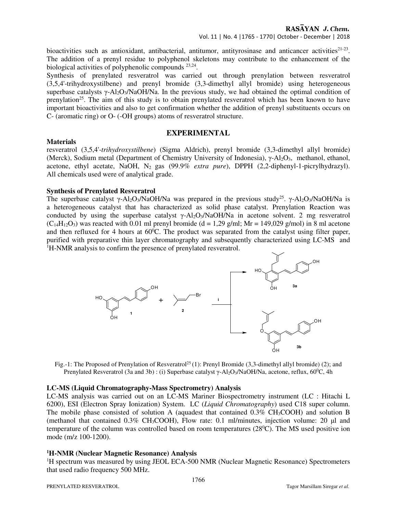bioactivities such as antioxidant, antibacterial, antitumor, antityrosinase and anticancer activities<sup>21-23</sup>. The addition of a prenyl residue to polyphenol skeletons may contribute to the enhancement of the biological activities of polyphenolic compounds <sup>23,24</sup>.

Synthesis of prenylated resveratrol was carried out through prenylation between resveratrol (3,5,4'-trihydroxystilbene) and prenyl bromide (3,3-dimethyl allyl bromide) using heterogeneous superbase catalysts  $\gamma$ -Al<sub>2</sub>O<sub>3</sub>/NaOH/Na. In the previous study, we had obtained the optimal condition of prenylation<sup>25</sup>. The aim of this study is to obtain prenylated resveratrol which has been known to have important bioactivities and also to get confirmation whether the addition of prenyl substituents occurs on C- (aromatic ring) or O- (-OH groups) atoms of resveratrol structure.

# **EXPERIMENTAL**

#### **Materials**

resveratrol (3,5,4'-*trihydroxystilbene*) (Sigma Aldrich), prenyl bromide (3,3-dimethyl allyl bromide) (Merck), Sodium metal (Department of Chemistry University of Indonesia), γ-Al<sub>2</sub>O<sub>3</sub>, methanol, ethanol, acetone, ethyl acetate, NaOH, N2 gas (99.9*% extra pure*), DPPH (2,2-diphenyl-1-picrylhydrazyl). All chemicals used were of analytical grade.

# **Synthesis of Prenylated Resveratrol**

The superbase catalyst  $\gamma$ -Al<sub>2</sub>O<sub>3</sub>/NaOH/Na was prepared in the previous study<sup>25</sup>.  $\gamma$ -Al<sub>2</sub>O<sub>3</sub>/NaOH/Na is a heterogeneous catalyst that has characterized as solid phase catalyst. Prenylation Reaction was conducted by using the superbase catalyst γ-Al2O3/NaOH/Na in acetone solvent. 2 mg resveratrol  $(C_{14}H_{12}O_3)$  was reacted with 0.01 ml prenyl bromide (d = 1,29 g/ml; Mr = 149,029 g/mol) in 8 ml acetone and then refluxed for 4 hours at  $60^{\circ}$ C. The product was separated from the catalyst using filter paper, purified with preparative thin layer chromatography and subsequently characterized using LC-MS and <sup>1</sup>H-NMR analysis to confirm the presence of prenylated resveratrol.



Fig.-1: The Proposed of Prenylation of Resveratrol<sup>25</sup>(1): Prenyl Bromide (3,3-dimethyl allyl bromide) (2); and Prenylated Resveratrol (3a and 3b) : (i) Superbase catalyst  $\gamma$ -Al<sub>2</sub>O<sub>3</sub>/NaOH/Na, acetone, reflux, 60<sup>o</sup>C, 4h

# **LC-MS (Liquid Chromatography-Mass Spectrometry) Analysis**

LC-MS analysis was carried out on an LC-MS Mariner Biospectrometry instrument (LC : Hitachi L 6200), ESI (Electron Spray Ionization) System. LC (*Liquid Chromatography*) used C18 super column. The mobile phase consisted of solution A (aquadest that contained  $0.3\%$  CH<sub>3</sub>COOH) and solution B (methanol that contained  $0.3\%$  CH<sub>3</sub>COOH), Flow rate: 0.1 ml/minutes, injection volume: 20 µl and temperature of the column was controlled based on room temperatures  $(28\degree C)$ . The MS used positive ion mode (m/z 100-1200).

# **<sup>1</sup>H-NMR (Nuclear Magnetic Resonance) Analysis**

<sup>1</sup>H spectrum was measured by using JEOL ECA-500 NMR (Nuclear Magnetic Resonance) Spectrometers that used radio frequency 500 MHz.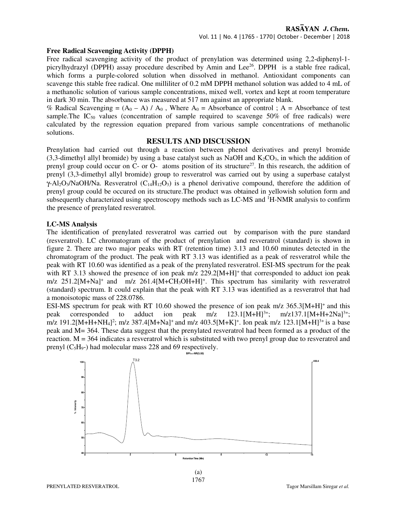#### **Free Radical Scavenging Activity (DPPH)**

Free radical scavenging activity of the product of prenylation was determined using 2,2-diphenyl-1 picrylhydrazyl (DPPH) assay procedure described by Amin and Lee<sup>26</sup>. DPPH is a stable free radical, which forms a purple-colored solution when dissolved in methanol. Antioxidant components can scavenge this stable free radical. One milliliter of 0.2 mM DPPH methanol solution was added to 4 mL of a methanolic solution of various sample concentrations, mixed well, vortex and kept at room temperature in dark 30 min. The absorbance was measured at 517 nm against an appropriate blank.

% Radical Scavenging =  $(A_0 - A) / A_0$ , Where  $A_0$  = Absorbance of control; A = Absorbance of test sample. The IC<sub>50</sub> values (concentration of sample required to scavenge 50% of free radicals) were calculated by the regression equation prepared from various sample concentrations of methanolic solutions.

## **RESULTS AND DISCUSSION**

Prenylation had carried out through a reaction between phenol derivatives and prenyl bromide (3,3-dimethyl allyl bromide) by using a base catalyst such as NaOH and  $K_2CO_3$ , in which the addition of prenyl group could occur on  $C$ - or  $O$ - atoms position of its structure<sup>27</sup>. In this research, the addition of prenyl (3,3-dimethyl allyl bromide) group to resveratrol was carried out by using a superbase catalyst  $\gamma$ -Al<sub>2</sub>O<sub>3</sub>/NaOH/Na. Resveratrol (C<sub>14</sub>H<sub>12</sub>O<sub>3</sub>) is a phenol derivative compound, therefore the addition of prenyl group could be occured on its structure.The product was obtained in yellowish solution form and subsequently characterized using spectroscopy methods such as LC-MS and <sup>1</sup>H-NMR analysis to confirm the presence of prenylated resveratrol.

# **LC-MS Analysis**

The identification of prenylated resveratrol was carried out by comparison with the pure standard (resveratrol). LC chromatogram of the product of prenylation and resveratrol (standard) is shown in figure 2. There are two major peaks with RT (retention time) 3.13 and 10.60 minutes detected in the chromatogram of the product. The peak with RT 3.13 was identified as a peak of resveratrol while the peak with RT 10.60 was identified as a peak of the prenylated resveratrol. ESI-MS spectrum for the peak with RT 3.13 showed the presence of ion peak  $m/z$  229.2[M+H]<sup>+</sup> that corresponded to adduct ion peak m/z 251.2[M+Na]<sup>+</sup> and m/z 261.4[M+CH<sub>3</sub>OH+H]<sup>+</sup>. This spectrum has similarity with resveratrol (standard) spectrum. It could explain that the peak with RT 3.13 was identified as a resveratrol that had a monoisotopic mass of 228.0786.

ESI-MS spectrum for peak with RT 10.60 showed the presence of ion peak m/z 365.3[M+H]<sup>+</sup> and this peak corresponded to adduct ion peak m/z 123.1[M+H]<sup>3+</sup>; m/z137.1[M+H+2Na]<sup>3+</sup>; peak corresponded to adduct ion peak  $m/z$  123.1[M+H]<sup>3+</sup>;  $m/z$ 137.1[M+H+2Na]<sup>3+</sup>; m/z 191.2[M+H+NH<sub>4</sub>]<sup>2</sup>; m/z 387.4[M+Na]<sup>+</sup> and m/z 403.5[M+K]<sup>+</sup>. Ion peak m/z 123.1[M+H]<sup>3+</sup> is a base peak and M= 364. These data suggest that the prenylated resveratrol had been formed as a product of the reaction. M = 364 indicates a resveratrol which is substituted with two prenyl group due to resveratrol and prenyl  $(C_5H_9)$  had molecular mass 228 and 69 respectively.

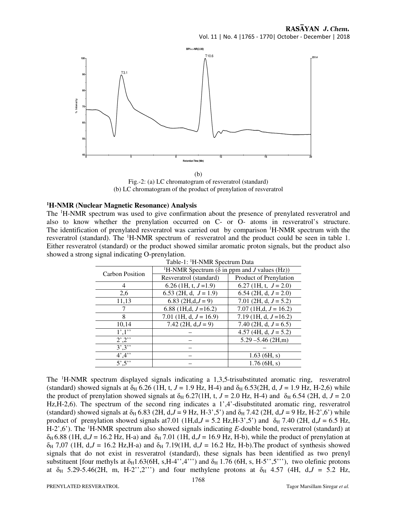

(b)

Fig.-2: (a) LC chromatogram of resveratrol (standard) (b) LC chromatogram of the product of prenylation of resveratrol

#### **<sup>1</sup>H-NMR (Nuclear Magnetic Resonance) Analysis**

The <sup>1</sup>H-NMR spectrum was used to give confirmation about the presence of prenylated resveratrol and also to know whether the prenylation occurred on C- or O- atoms in resveratrol's structure. The identification of prenylated resveratrol was carried out by comparison <sup>1</sup>H-NMR spectrum with the resveratrol (standard). The <sup>1</sup>H-NMR spectrum of resveratrol and the product could be seen in table 1. Either resveratrol (standard) or the product showed similar aromatic proton signals, but the product also showed a strong signal indicating O-prenylation.

| Table-T: 'H-NMR Spectrum Data |                                                                  |                            |
|-------------------------------|------------------------------------------------------------------|----------------------------|
| <b>Carbon Position</b>        | <sup>1</sup> H-NMR Spectrum ( $\delta$ in ppm and J values (Hz)) |                            |
|                               | Resveratrol (standard)                                           | Product of Prenylation     |
| 4                             | 6.26 (1H, t, $J=1.9$ )                                           | 6.27 (1H, t, $J = 2.0$ )   |
| 2,6                           | 6.53 (2H, d, $J = 1.9$ )                                         | 6.54 (2H, d, $J = 2.0$ )   |
| 11,13                         | 6.83 $(2H,d,J=9)$                                                | 7.01 (2H, d, $J = 5.2$ )   |
|                               | 6.88 (1H,d, $J = 16.2$ )                                         | $7.07$ (1H,d, $J = 16.2$ ) |
| 8                             | 7.01 (1H, d, $J = 16.9$ )                                        | 7.19 (1H, d, $J=16.2$ )    |
| 10.14                         | 7.42 (2H, $d, J = 9$ )                                           | 7.40 (2H, d, $J = 6.5$ )   |
| 1',1''                        |                                                                  | 4.57 (4H, d, $J = 5.2$ )   |
| $2^{\prime},2^{\prime}$       |                                                                  | $5.29 - 5.46$ (2H,m)       |
| $3^{\prime},3^{\prime}$       |                                                                  |                            |
| 4,4                           |                                                                  | $1.63$ (6H, s)             |
| $5^\prime, 5^{\prime\prime}$  |                                                                  | $1.76$ (6H, s)             |

Table-1: <sup>1</sup>H-NMR Spectrum Data

The <sup>1</sup>H-NMR spectrum displayed signals indicating a 1,3,5-trisubstituted aromatic ring, resveratrol (standard) showed signals at  $\delta_H$  6.26 (1H, t, *J* = 1.9 Hz, H-4) and  $\delta_H$  6.53(2H, d, *J* = 1.9 Hz, H-2,6) while the product of prenylation showed signals at  $\delta_H$  6.27(1H, t, *J* = 2.0 Hz, H-4) and  $\delta_H$  6.54 (2H, d, *J* = 2.0 Hz,H-2,6). The spectrum of the second ring indicates a 1',4'-disubstituted aromatic ring, resveratrol (standard) showed signals at  $\delta_H$  6.83 (2H, d,*J* = 9 Hz, H-3',5') and  $\delta_H$  7.42 (2H, d,*J* = 9 Hz, H-2',6') while product of prenylation showed signals at 7.01 (1H,d, $J = 5.2$  Hz, H-3',5') and  $\delta_H$  7.40 (2H, d, $J = 6.5$  Hz, H-2',6'). The <sup>1</sup>H-NMR spectrum also showed signals indicating *E*-double bond, resveratrol (standard) at δH 6.88 (1H, d,*J* = 16.2 Hz, H-a) and δH 7.01 (1H, d,*J* = 16.9 Hz, H-b), while the product of prenylation at  $\delta_H$  7,07 (1H, d, $J = 16.2$  Hz,H-a) and  $\delta_H$  7.19(1H, d, $J = 16.2$  Hz, H-b). The product of synthesis showed signals that do not exist in resveratrol (standard), these signals has been identified as two prenyl substituent [four methyls at  $\delta_H$ 1.63(6H, s, H-4'',4''') and  $\delta_H$  1.76 (6H, s, H-5'',5'''), two olefinic protons at  $\delta_H$  5.29-5.46(2H, m, H-2'',2''') and four methylene protons at  $\delta_H$  4.57 (4H, d, $J = 5.2$  Hz,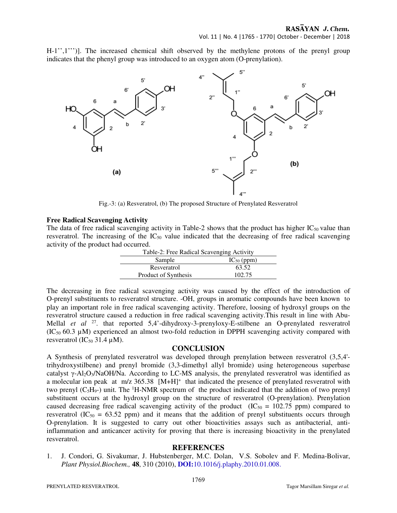H-1'',1''')]. The increased chemical shift observed by the methylene protons of the prenyl group indicates that the phenyl group was introduced to an oxygen atom (O-prenylation).



Fig.-3: (a) Resveratrol, (b) The proposed Structure of Prenylated Resveratrol

# **Free Radical Scavenging Activity**

The data of free radical scavenging activity in Table-2 shows that the product has higher  $IC_{50}$  value than resveratrol. The increasing of the  $IC_{50}$  value indicated that the decreasing of free radical scavenging activity of the product had occurred.

| Table-2: Free Radical Scavenging Activity |                 |  |
|-------------------------------------------|-----------------|--|
| Sample                                    | $IC_{50}$ (ppm) |  |
| Resveratrol                               | 63.52           |  |
| Product of Synthesis                      | 102.75          |  |

The decreasing in free radical scavenging activity was caused by the effect of the introduction of O-prenyl substituents to resveratrol structure. -OH, groups in aromatic compounds have been known to play an important role in free radical scavenging activity. Therefore, loosing of hydroxyl groups on the resveratrol structure caused a reduction in free radical scavenging activity.This result in line with Abu-Mellal *et al* <sup>27</sup>. that reported 5,4'-dihydroxy-3-prenyloxy-E-stilbene an O-prenylated resveratrol  $(IC_{50} 60.3 \mu M)$  experienced an almost two-fold reduction in DPPH scavenging activity compared with resveratrol ( $IC_{50}$  31.4  $\mu$ M).

# **CONCLUSION**

A Synthesis of prenylated resveratrol was developed through prenylation between resveratrol (3,5,4' trihydroxystilbene) and prenyl bromide (3,3-dimethyl allyl bromide) using heterogeneous superbase catalyst γ-Al2O3/NaOH/Na. According to LC-MS analysis, the prenylated resveratrol was identified as a molecular ion peak at m/z 365.38 [M+H]<sup>+</sup> that indicated the presence of prenylated resveratrol with two prenyl  $(C_5H_9$ -) unit. The <sup>1</sup>H-NMR spectrum of the product indicated that the addition of two prenyl substituent occurs at the hydroxyl group on the structure of resveratrol (O-prenylation). Prenylation caused decreasing free radical scavenging activity of the product  $(IC_{50} = 102.75$  ppm) compared to resveratrol (IC<sub>50</sub> = 63.52 ppm) and it means that the addition of prenyl substituents occurs through O-prenylation. It is suggested to carry out other bioactivities assays such as antibacterial, antiinflammation and anticancer activity for proving that there is increasing bioactivity in the prenylated resveratrol.

# **REFERENCES**

1. J. Condori, G. Sivakumar, J. Hubstenberger, M.C. Dolan, V.S. Sobolev and F. Medina-Bolivar, *Plant Physiol.Biochem.,* **48**, 310 (2010), **DOI:**10.1016/j.plaphy.2010.01.008.